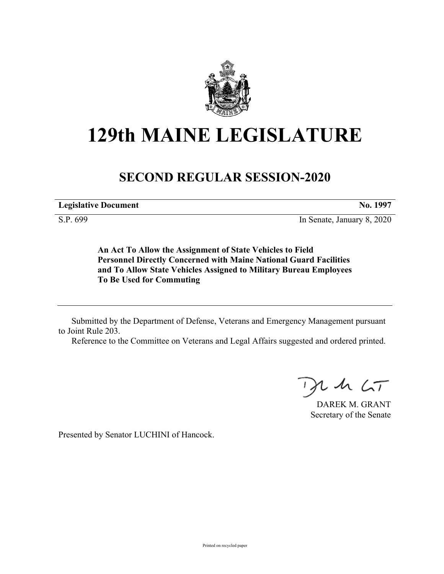

# **129th MAINE LEGISLATURE**

## **SECOND REGULAR SESSION-2020**

**Legislative Document No. 1997**

S.P. 699 In Senate, January 8, 2020

**An Act To Allow the Assignment of State Vehicles to Field Personnel Directly Concerned with Maine National Guard Facilities and To Allow State Vehicles Assigned to Military Bureau Employees To Be Used for Commuting**

Submitted by the Department of Defense, Veterans and Emergency Management pursuant to Joint Rule 203.

Reference to the Committee on Veterans and Legal Affairs suggested and ordered printed.

 $125$ 

DAREK M. GRANT Secretary of the Senate

Presented by Senator LUCHINI of Hancock.